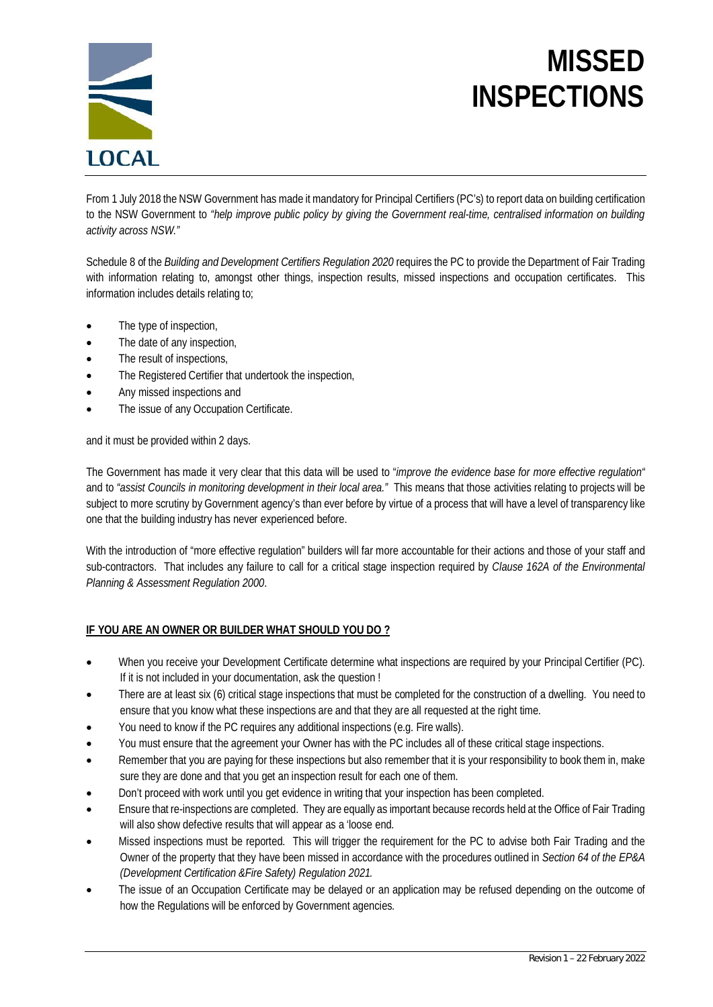

# **MISSED INSPECTIONS**

From 1 July 2018 the NSW Government has made it mandatory for Principal Certifiers (PC's) to report data on building certification to the NSW Government to *"help improve public policy by giving the Government real-time, centralised information on building activity across NSW."*

Schedule 8 of the *Building and Development Certifiers Regulation 2020* requires the PC to provide the Department of Fair Trading with information relating to, amongst other things, inspection results, missed inspections and occupation certificates. This information includes details relating to;

- The type of inspection,
- The date of any inspection,
- The result of inspections,
- The Registered Certifier that undertook the inspection,
- Any missed inspections and
- The issue of any Occupation Certificate.

and it must be provided within 2 days.

The Government has made it very clear that this data will be used to "*improve the evidence base for more effective regulation"* and to *"assist Councils in monitoring development in their local area."* This means that those activities relating to projects will be subject to more scrutiny by Government agency's than ever before by virtue of a process that will have a level of transparency like one that the building industry has never experienced before.

With the introduction of "more effective regulation" builders will far more accountable for their actions and those of your staff and sub-contractors. That includes any failure to call for a critical stage inspection required by *Clause 162A of the Environmental Planning & Assessment Regulation 2000*.

#### **IF YOU ARE AN OWNER OR BUILDER WHAT SHOULD YOU DO ?**

- When you receive your Development Certificate determine what inspections are required by your Principal Certifier (PC). If it is not included in your documentation, ask the question !
- There are at least six (6) critical stage inspections that must be completed for the construction of a dwelling. You need to ensure that you know what these inspections are and that they are all requested at the right time.
- You need to know if the PC requires any additional inspections (e.g. Fire walls).
- You must ensure that the agreement your Owner has with the PC includes all of these critical stage inspections.
- Remember that you are paying for these inspections but also remember that it is your responsibility to book them in, make sure they are done and that you get an inspection result for each one of them.
- Don't proceed with work until you get evidence in writing that your inspection has been completed.
- Ensure that re-inspections are completed. They are equally as important because records held at the Office of Fair Trading will also show defective results that will appear as a 'loose end.
- Missed inspections must be reported. This will trigger the requirement for the PC to advise both Fair Trading and the Owner of the property that they have been missed in accordance with the procedures outlined in *Section 64 of the EP&A (Development Certification &Fire Safety) Regulation 2021.*
- The issue of an Occupation Certificate may be delayed or an application may be refused depending on the outcome of how the Regulations will be enforced by Government agencies.